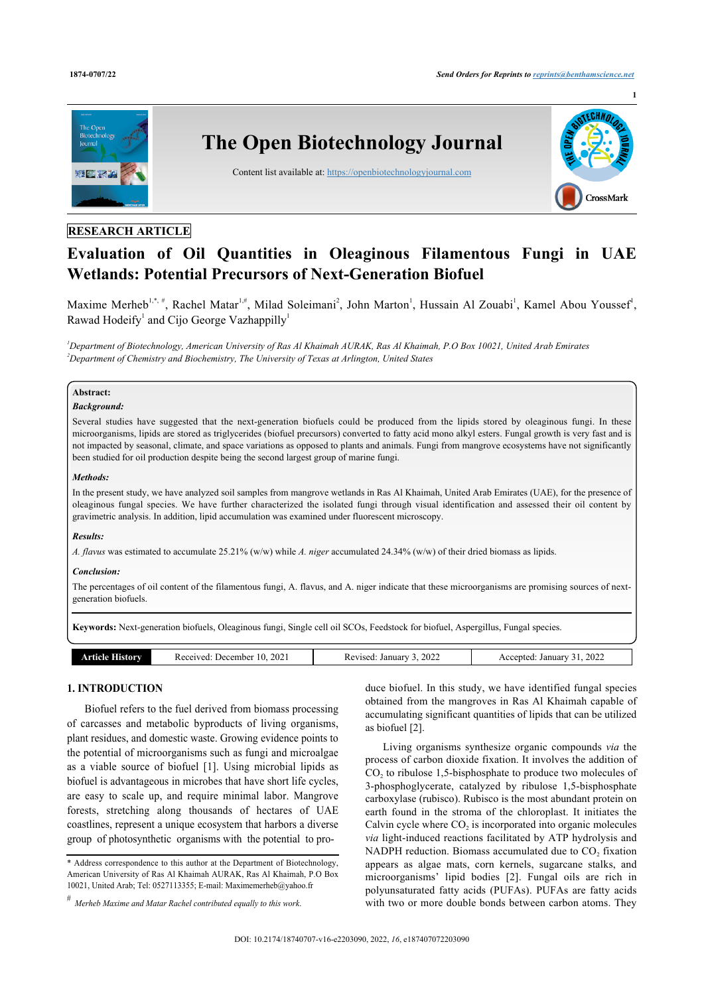**1**



## **RESEARCH ARTICLE**

# **Evaluation of Oil Quantities in Oleaginous Filamentous Fungi in UAE Wetlands: Potential Precursors of Next-Generation Biofuel**

Maxime Merheb<sup>[1,](#page-0-0)\*,[#](#page-0-1)</sup>, Rachel Matar<sup>1,#</sup>, Milad Soleimani<sup>[2](#page-0-2)</sup>, John Marton<sup>[1](#page-0-0)</sup>, Hussain Al Zouabi<sup>1</sup>, Kamel Abou Youssef<sup>1</sup>, Rawad Hodeify<sup>[1](#page-0-0)</sup> and Cijo George Vazhappilly<sup>1</sup>

<span id="page-0-2"></span><span id="page-0-0"></span>*<sup>1</sup>Department of Biotechnology, American University of Ras Al Khaimah AURAK, Ras Al Khaimah, P.O Box 10021, United Arab Emirates <sup>2</sup>Department of Chemistry and Biochemistry, The University of Texas at Arlington, United States*

## **Abstract:**

## *Background:*

Several studies have suggested that the next-generation biofuels could be produced from the lipids stored by oleaginous fungi. In these microorganisms, lipids are stored as triglycerides (biofuel precursors) converted to fatty acid mono alkyl esters. Fungal growth is very fast and is not impacted by seasonal, climate, and space variations as opposed to plants and animals. Fungi from mangrove ecosystems have not significantly been studied for oil production despite being the second largest group of marine fungi.

#### *Methods:*

In the present study, we have analyzed soil samples from mangrove wetlands in Ras Al Khaimah, United Arab Emirates (UAE), for the presence of oleaginous fungal species. We have further characterized the isolated fungi through visual identification and assessed their oil content by gravimetric analysis. In addition, lipid accumulation was examined under fluorescent microscopy.

#### *Results:*

*A. flavus* was estimated to accumulate 25.21% (w/w) while *A. niger* accumulated 24.34% (w/w) of their dried biomass as lipids.

#### *Conclusion:*

The percentages of oil content of the filamentous fungi, A. flavus, and A. niger indicate that these microorganisms are promising sources of nextgeneration biofuels.

**Keywords:** Next-generation biofuels, Oleaginous fungi, Single cell oil SCOs, Feedstock for biofuel, Aspergillus, Fungal species.

| istory | 202<br>ember.<br>Jacam<br>۰0<br>'VCL<br>.<br>. | 2022<br>10111017<br>ланиат<br>__ | 2022<br>Januar<br>nted |
|--------|------------------------------------------------|----------------------------------|------------------------|

## **1. INTRODUCTION**

Biofuel refers to the fuel derived from biomass processing of carcasses and metabolic byproducts of living organisms, plant residues, and domestic waste. Growing evidence points to the potential of microorganisms such as fungi and microalgae as a viable source of biofuel [\[1\]](#page-3-0). Using microbial lipids as biofuel is advantageous in microbes that have short life cycles, are easy to scale up, and require minimal labor. Mangrove forests, stretching along thousands of hectares of UAE coastlines, represent a unique ecosystem that harbors a diverse group of photosynthetic organisms with the potential to produce biofuel. In this study, we have identified fungal species obtained from the mangroves in Ras Al Khaimah capable of accumulating significant quantities of lipids that can be utilized as biofuel [\[2\]](#page-3-1).

Living organisms synthesize organic compounds *via* the process of carbon dioxide fixation. It involves the addition of  $CO<sub>2</sub>$  to ribulose 1,5-bisphosphate to produce two molecules of 3-phosphoglycerate, catalyzed by ribulose 1,5-bisphosphate carboxylase (rubisco). Rubisco is the most abundant protein on earth found in the stroma of the chloroplast. It initiates the Calvin cycle where  $CO<sub>2</sub>$  is incorporated into organic molecules *via* light-induced reactions facilitated by ATP hydrolysis and NADPH reduction. Biomass accumulated due to  $CO<sub>2</sub>$  fixation appears as algae mats, corn kernels, sugarcane stalks, and microorganisms' lipid bodies[[2\]](#page-3-1). Fungal oils are rich in polyunsaturated fatty acids (PUFAs). PUFAs are fatty acids with two or more double bonds between carbon atoms. They

<span id="page-0-1"></span><sup>\*</sup> Address correspondence to this author at the Department of Biotechnology, American University of Ras Al Khaimah AURAK, Ras Al Khaimah, P.O Box 10021, United Arab; Tel: 0527113355; E-mail: [Maximemerheb@yahoo.fr](mailto:Maximemerheb@yahoo.fr)

*<sup>#</sup> Merheb Maxime and Matar Rachel contributed equally to this work*.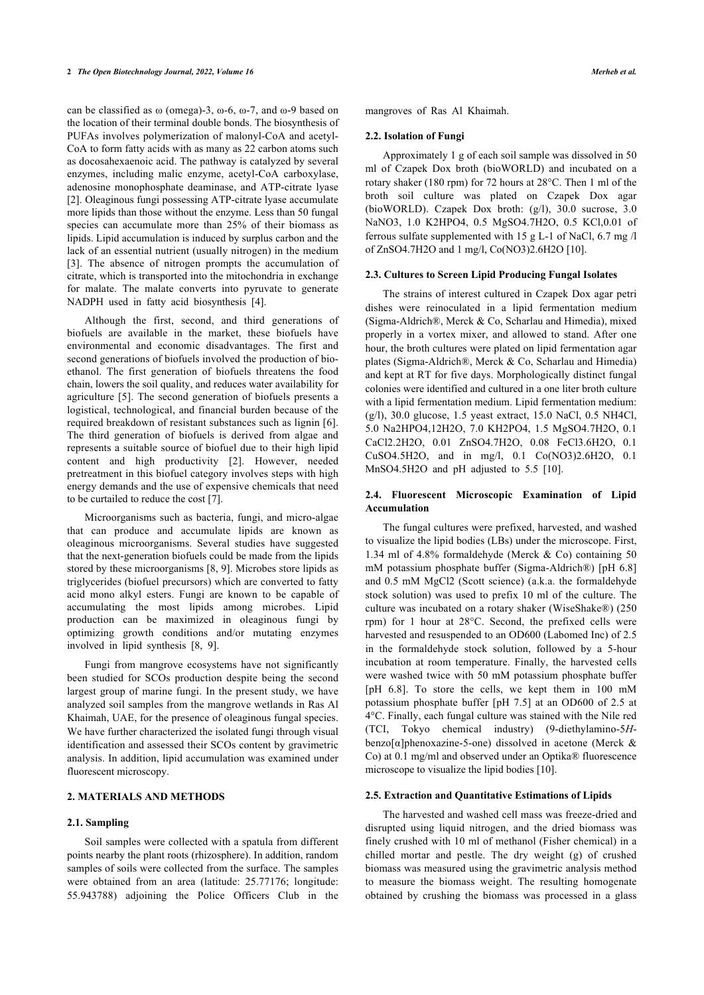can be classified as ω (omega)-3, ω-6, ω-7, and ω-9 based on the location of their terminal double bonds. The biosynthesis of PUFAs involves polymerization of malonyl-CoA and acetyl-CoA to form fatty acids with as many as 22 carbon atoms such as docosahexaenoic acid. The pathway is catalyzed by several enzymes, including malic enzyme, acetyl-CoA carboxylase, adenosine monophosphate deaminase, and ATP-citrate lyase [[2](#page-3-1)]. Oleaginous fungi possessing ATP-citrate lyase accumulate more lipids than those without the enzyme. Less than 50 fungal species can accumulate more than 25% of their biomass as lipids. Lipid accumulation is induced by surplus carbon and the lack of an essential nutrient (usually nitrogen) in the medium [[3](#page-3-2)]. The absence of nitrogen prompts the accumulation of citrate, which is transported into the mitochondria in exchange for malate. The malate converts into pyruvate to generate NADPH used in fatty acid biosynthesis[[4](#page-3-3)].

Although the first, second, and third generations of biofuels are available in the market, these biofuels have environmental and economic disadvantages. The first and second generations of biofuels involved the production of bioethanol. The first generation of biofuels threatens the food chain, lowers the soil quality, and reduces water availability for agriculture [[5\]](#page-3-4). The second generation of biofuels presents a logistical, technological, and financial burden because of the required breakdown of resistant substances such as lignin [\[6\]](#page-3-5). The third generation of biofuels is derived from algae and represents a suitable source of biofuel due to their high lipid content and high productivity[[2](#page-3-1)]. However, needed pretreatment in this biofuel category involves steps with high energy demands and the use of expensive chemicals that need to be curtailed to reduce the cost [[7](#page-3-6)].

Microorganisms such as bacteria, fungi, and micro-algae that can produce and accumulate lipids are known as oleaginous microorganisms. Several studies have suggested that the next-generation biofuels could be made from the lipids stored by these microorganisms [[8](#page-3-7), [9\]](#page-3-8). Microbes store lipids as triglycerides (biofuel precursors) which are converted to fatty acid mono alkyl esters. Fungi are known to be capable of accumulating the most lipids among microbes. Lipid production can be maximized in oleaginous fungi by optimizing growth conditions and/or mutating enzymes involved in lipid synthesis[[8](#page-3-7), [9](#page-3-8)].

Fungi from mangrove ecosystems have not significantly been studied for SCOs production despite being the second largest group of marine fungi. In the present study, we have analyzed soil samples from the mangrove wetlands in Ras Al Khaimah, UAE, for the presence of oleaginous fungal species. We have further characterized the isolated fungi through visual identification and assessed their SCOs content by gravimetric analysis. In addition, lipid accumulation was examined under fluorescent microscopy.

### **2. MATERIALS AND METHODS**

#### **2.1. Sampling**

Soil samples were collected with a spatula from different points nearby the plant roots (rhizosphere). In addition, random samples of soils were collected from the surface. The samples were obtained from an area (latitude: 25.77176; longitude: 55.943788) adjoining the Police Officers Club in the

mangroves of Ras Al Khaimah.

#### **2.2. Isolation of Fungi**

Approximately 1 g of each soil sample was dissolved in 50 ml of Czapek Dox broth (bioWORLD) and incubated on a rotary shaker (180 rpm) for 72 hours at 28°C. Then 1 ml of the broth soil culture was plated on Czapek Dox agar (bioWORLD). Czapek Dox broth: (g/l), 30.0 sucrose, 3.0 NaNO3, 1.0 K2HPO4, 0.5 MgSO4.7H2O, 0.5 KCl,0.01 of ferrous sulfate supplemented with 15 g L-1 of NaCl, 6.7 mg /l of ZnSO4.7H2O and 1 mg/l, Co(NO3)2.6H2O [\[10](#page-3-9)].

#### **2.3. Cultures to Screen Lipid Producing Fungal Isolates**

The strains of interest cultured in Czapek Dox agar petri dishes were reinoculated in a lipid fermentation medium (Sigma-Aldrich®, Merck & Co, Scharlau and Himedia), mixed properly in a vortex mixer, and allowed to stand. After one hour, the broth cultures were plated on lipid fermentation agar plates (Sigma-Aldrich®, Merck & Co, Scharlau and Himedia) and kept at RT for five days. Morphologically distinct fungal colonies were identified and cultured in a one liter broth culture with a lipid fermentation medium. Lipid fermentation medium: (g/l), 30.0 glucose, 1.5 yeast extract, 15.0 NaCl, 0.5 NH4Cl, 5.0 Na2HPO4,12H2O, 7.0 KH2PO4, 1.5 MgSO4.7H2O, 0.1 CaCl2.2H2O, 0.01 ZnSO4.7H2O, 0.08 FeCl3.6H2O, 0.1 CuSO4.5H2O, and in mg/l, 0.1 Co(NO3)2.6H2O, 0.1 MnSO4.5H2O and pH adjusted to 5.5 [\[10](#page-3-9)].

#### **2.4. Fluorescent Microscopic Examination of Lipid Accumulation**

The fungal cultures were prefixed, harvested, and washed to visualize the lipid bodies (LBs) under the microscope. First, 1.34 ml of 4.8% formaldehyde (Merck & Co) containing 50 mM potassium phosphate buffer (Sigma-Aldrich®) [pH 6.8] and 0.5 mM MgCl2 (Scott science) (a.k.a. the formaldehyde stock solution) was used to prefix 10 ml of the culture. The culture was incubated on a rotary shaker (WiseShake®) (250 rpm) for 1 hour at 28°C. Second, the prefixed cells were harvested and resuspended to an OD600 (Labomed Inc) of 2.5 in the formaldehyde stock solution, followed by a 5-hour incubation at room temperature. Finally, the harvested cells were washed twice with 50 mM potassium phosphate buffer [pH 6.8]. To store the cells, we kept them in 100 mM potassium phosphate buffer [pH 7.5] at an OD600 of 2.5 at 4°C. Finally, each fungal culture was stained with the Nile red (TCI, Tokyo chemical industry) (9-diethylamino-5*H*benzo[ $\alpha$ ]phenoxazine-5-one) dissolved in acetone (Merck & Co) at 0.1 mg/ml and observed under an Optika® fluorescence microscope to visualize the lipid bodies [[10\]](#page-3-9).

#### **2.5. Extraction and Quantitative Estimations of Lipids**

The harvested and washed cell mass was freeze-dried and disrupted using liquid nitrogen, and the dried biomass was finely crushed with 10 ml of methanol (Fisher chemical) in a chilled mortar and pestle. The dry weight (g) of crushed biomass was measured using the gravimetric analysis method to measure the biomass weight. The resulting homogenate obtained by crushing the biomass was processed in a glass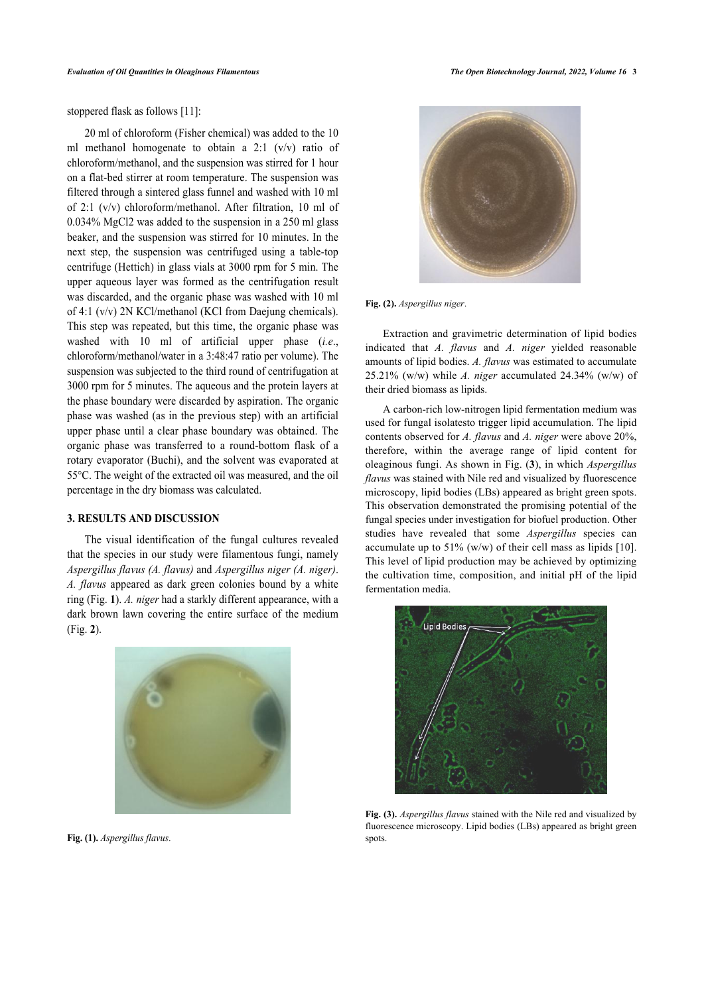stoppered flask as follows [[11\]](#page-3-10):

20 ml of chloroform (Fisher chemical) was added to the 10 ml methanol homogenate to obtain a 2:1 (v/v) ratio of chloroform/methanol, and the suspension was stirred for 1 hour on a flat-bed stirrer at room temperature. The suspension was filtered through a sintered glass funnel and washed with 10 ml of 2:1 (v/v) chloroform/methanol. After filtration, 10 ml of 0.034% MgCl2 was added to the suspension in a 250 ml glass beaker, and the suspension was stirred for 10 minutes. In the next step, the suspension was centrifuged using a table-top centrifuge (Hettich) in glass vials at 3000 rpm for 5 min. The upper aqueous layer was formed as the centrifugation result was discarded, and the organic phase was washed with 10 ml of 4:1 (v/v) 2N KCl/methanol (KCl from Daejung chemicals). This step was repeated, but this time, the organic phase was washed with 10 ml of artificial upper phase (*i.e*., chloroform/methanol/water in a 3:48:47 ratio per volume). The suspension was subjected to the third round of centrifugation at 3000 rpm for 5 minutes. The aqueous and the protein layers at the phase boundary were discarded by aspiration. The organic phase was washed (as in the previous step) with an artificial upper phase until a clear phase boundary was obtained. The organic phase was transferred to a round-bottom flask of a rotary evaporator (Buchi), and the solvent was evaporated at 55°C. The weight of the extracted oil was measured, and the oil percentage in the dry biomass was calculated.

## **3. RESULTS AND DISCUSSION**

<span id="page-2-2"></span><span id="page-2-0"></span>The visual identification of the fungal cultures revealed that the species in our study were filamentous fungi, namely *Aspergillus flavus (A. flavus)* and *Aspergillus niger (A. niger)*. *A. flavus* appeared as dark green colonies bound by a white ring (Fig. **[1](#page-2-0)**). *A. niger* had a starkly different appearance, with a dark brown lawn covering the entire surface of the medium (Fig. **[2](#page-2-1)**).



<span id="page-2-1"></span>**Fig. (1).** *Aspergillus flavus*.



**Fig. (2).** *Aspergillus niger*.

Extraction and gravimetric determination of lipid bodies indicated that *A. flavus* and *A. niger* yielded reasonable amounts of lipid bodies. *A. flavus* was estimated to accumulate 25.21% (w/w) while *A. niger* accumulated 24.34% (w/w) of their dried biomass as lipids.

A carbon-rich low-nitrogen lipid fermentation medium was used for fungal isolatesto trigger lipid accumulation. The lipid contents observed for *A. flavus* and *A. niger* were above 20%, therefore, within the average range of lipid content for oleaginous fungi. As shown in Fig. (**[3](#page-2-2)**), in which *Aspergillus flavus* was stained with Nile red and visualized by fluorescence microscopy, lipid bodies (LBs) appeared as bright green spots. This observation demonstrated the promising potential of the fungal species under investigation for biofuel production. Other studies have revealed that some *Aspergillus* species can accumulate up to  $51\%$  (w/w) of their cell mass as lipids [[10](#page-3-9)]. This level of lipid production may be achieved by optimizing the cultivation time, composition, and initial pH of the lipid fermentation media.



**Fig. (3).** *Aspergillus flavus* stained with the Nile red and visualized by fluorescence microscopy. Lipid bodies (LBs) appeared as bright green spots.